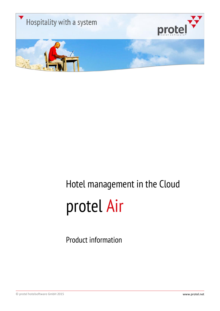

## Hotel management in the Cloud protel Air

Product information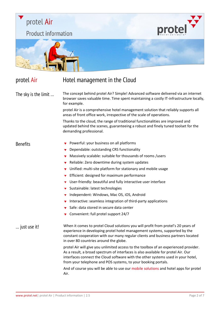

### protel Air **Hotel management in the Cloud**

The sky is the limit … The concept behind protel Air? Simple! Advanced software delivered via an internet browser saves valuable time. Time spent maintaining a costly IT-infrastructure locally, for example.

> protel Air is a comprehensive hotel management solution that reliably supports all areas of front office work, irrespective of the scale of operations.

> Thanks to the cloud, the range of traditional functionalities are improved and updated behind the scenes, guaranteeing a robust and finely tuned toolset for the demanding professional.

- Benefits **Powerful:** your business on all platforms
	- **Dependable: outstanding CRS functionality**
	- Massively scalable: suitable for thousands of rooms /users
	- $\overline{\phantom{a}}$  Reliable: Zero downtime during system updates
	- $\overline{\phantom{a}}$  Unified: multi-site platform for stationary and mobile usage
	- $\blacktriangleright$  Efficient: designed for maximum performance
	- $\blacktriangleright$  User-friendly: beautiful and fully interactive user interface
	- $\blacktriangleright$  Sustainable: latest technologies
	- $\blacktriangledown$  Independent: Windows, Mac OS, iOS, Android
	- Interactive: seamless integration of third-party applications
	- Safe: data stored in secure data center
	- Convenient: full protel support 24/7

… just use it! When it comes to protel Cloud solutions you will profit from protel's 20 years of experience in developing protel hotel management systems, supported by the constant cooperation with our many regular clients and business partners located in over 80 countries around the globe.

> protel Air will give you unlimited access to the toolbox of an experienced provider. As a result, a broad spectrum of interfaces is also available for protel Air. Our interfaces connect the Cloud software with the other systems used in your hotel, from your telephone and POS systems, to your booking portals.

And of course you will be able to use our mobile solutions and hotel apps for protel Air.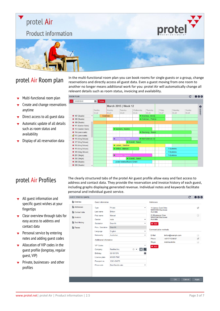## protel Air

**Product information** 



- Multi-functional room plan  $\overline{\mathbf{v}}$
- Create and change reservations anytime
- Direct access to all guest data  $\overline{\mathbf{v}}$
- Automatic update of all details  $\overline{\mathbf{v}}$ such as room status and availability
- Display of all reservation data

protel Air Room plan In the multi-functional room plan you can book rooms for single guests or a group, change<br>Protel Air Room plan <sub>reservations</sub> and directly access all guest data. Even a guest moving from one room to another no longer means additional work for you: protel Air will automatically change all relevant details such as room status, invoicing and availability.

protel



- All guest information and  $\overline{\mathbf{v}}$ specific guest wishes at your fingertips
- Clear overview through tabs for  $\overline{\mathbf{v}}$ easy access to address and contact data
- Personal service by entering  $\overline{\mathbf{v}}$ notes and adding guest codes
- Allocation of VIP codes in the  $\overline{\mathbf{v}}$ guest profile (longstay, regular guest, VIP)
- Private, businesses- and other profiles

protel Air Profiles The clearly structured tabs of the protel Air guest profile allow easy and fast access to address and contact data. They provide the reservation and invoice history of each guest, including graphs displaying generated revenue. Individual notes and keywords facilitate personal and individual guest service.

| <b>GUEST PROFILE (#419)</b> |                                |                    |                          |                                                      |                     | c. | 000          |
|-----------------------------|--------------------------------|--------------------|--------------------------|------------------------------------------------------|---------------------|----|--------------|
| <b>D</b> Overview           | <b>Guest information</b>       |                    |                          | <b>Addresses</b>                                     |                     |    |              |
| Addresses                   | Type                           | Private            | ٠                        | 14 James Cook Drive                                  |                     |    | $\checkmark$ |
| Contact data                | Last name                      | <b>Britton</b>     |                          | NSW2148 Blacktown<br>Australia                       |                     |    |              |
| Invoices                    | First name                     | Manuel             |                          | 25 Rhodesian Drive<br>NSW2148 Blacktown<br>Australia |                     |    |              |
|                             | Gender                         | male               | ٠                        |                                                      |                     |    |              |
| Text History                | Salutation                     | Dear Mr.           | ٠                        | $+$ Add                                              |                     |    |              |
| <b>Traces</b>               | Pers. Salutation               | Dear Mr.           |                          |                                                      |                     |    |              |
|                             | Language                       | English            | ٠                        | <b>Communication methods</b>                         |                     |    |              |
|                             | Nationality                    | Australian         | ۰                        | E-Mail                                               | britton@example.com |    |              |
|                             | <b>Additinonal information</b> |                    |                          | Phone                                                | +491771234567       |    | ✔            |
|                             |                                |                    |                          | <b>Skype</b>                                         | mabriaustralia      |    | $\Box$       |
|                             | <b>VIP Codes</b>               |                    | ۰                        | $+$ Add                                              |                     |    |              |
|                             | Company                        | ResMed Inc.        | 8 Q<br>$\otimes$ $\star$ |                                                      |                     |    |              |
|                             | Birthday                       | 03/18/1974         | 肅                        |                                                      |                     |    |              |
|                             | License plate                  | MX689 PMC          |                          |                                                      |                     |    |              |
|                             | Passport no.                   | 1245-454578        |                          |                                                      |                     |    |              |
|                             | Price code                     | Best flexible rate | ۰                        |                                                      |                     |    |              |
|                             |                                |                    |                          |                                                      |                     |    |              |
|                             |                                |                    |                          |                                                      |                     |    |              |
|                             |                                |                    |                          |                                                      |                     |    |              |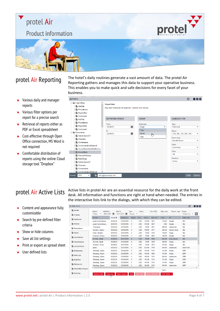# protel Air protel **Product information**

- Various daily and manager reports
- **v** Various filter options per report for a precise search
- Retrieval of reports either as  $\mathbf{v}$ PDF or Excel spreadsheet
- **v** Cost-effective through Open Office connection, MS Word is not required
- **v** Comfortable distribution of reports using the online Cloud storage tool "Dropbox"

protel Air Reporting The hotel's daily routines generate a vast amount of data. The protel Air<br>Reporting as been and manages this data to support your operative business Reporting gathers and manages this data to support your operative business. This enables you to make quick and safe decisions for every facet of your business.

| <b>REPORTS</b>                                                                                                                                                                                                                                                     |                                                                                                                                                             |                                                                  | C<br>$\bullet\bullet\bullet$                                                                                                                           |
|--------------------------------------------------------------------------------------------------------------------------------------------------------------------------------------------------------------------------------------------------------------------|-------------------------------------------------------------------------------------------------------------------------------------------------------------|------------------------------------------------------------------|--------------------------------------------------------------------------------------------------------------------------------------------------------|
| Front Office<br>NatStat<br><b>PhoneItems</b><br>RegionStat<br>Cashreport<br>NatStat<br><b>PhoneItems</b><br>RegionStat<br>Cashreport<br>Reservation<br><b>D</b> OptionsbyresID<br><b>Channels</b><br>Comereason<br>CommunicationChannel<br>HouseStateSortedByRooms | <b>House State</b><br>Day wise illustration of capacities, tunrover and revenue.<br><b>REPORTING PERIOD</b><br>From<br>龗<br>03/26/15<br>To<br>夁<br>03/26/15 | <b>GROUP</b><br>Summary<br>Page<br>Page<br>Month<br>لهام<br>Year | <b>GENERATE FOR</b><br><b>Type</b><br>Full hotel<br>Room<br>318, 304, 120, 209, 308<br>۰<br>Room type<br>Double Room<br>۰<br><b>State</b><br>Confirmed |
| <b>HouseState</b><br>DiscountGroups<br>RateGroup<br><b>D</b> OptionsbyresID<br><b>Channels</b><br>Comereason<br>CommunicationChannel                                                                                                                               | $\checkmark$                                                                                                                                                |                                                                  | Filter<br>All<br>۰<br>Revenue<br>Gross<br>۰                                                                                                            |
| <b>PDF</b><br>۰<br>☑<br>Format                                                                                                                                                                                                                                     | office@demohotel.net                                                                                                                                        |                                                                  | Print<br>Cancel                                                                                                                                        |

- $\bullet$  Content and appearance fully customizable
- $\blacktriangleright$  Search by pre-defined filter criteria
- $\blacktriangleright$  Show or hide columns
- Save all list settings
- Print or export as spread sheet
- User defined lists

protel Air Active Lists Active lists in protel Air are an essential resource for the daily work at the front desk. All information and functions are right at hand when needed. The entries in the interactive lists link to the dialogs, with which they can be edited.

| <b>TIVE LISTS</b>     |                                  |                          |                      |                          |            |                                      |              |        |                      |                        |                             | C                              | $\bullet\circ\circ$ |
|-----------------------|----------------------------------|--------------------------|----------------------|--------------------------|------------|--------------------------------------|--------------|--------|----------------------|------------------------|-----------------------------|--------------------------------|---------------------|
| Arrivals<br>h-house   | Search<br>Period<br>$\checkmark$ | Valid from<br>03/01/2015 |                      | Valid to<br>03/31/2015 图 |            | Type<br>Guests $\blacktriangleright$ | Name<br>Name |        | Res./CRS<br>Res./CRS | Rate code<br>Rate code | Room/r. type<br>Room/r. typ | <b>Status</b><br>Voided, De: v | Q                   |
|                       | <b>Booker</b>                    |                          | Arrival <sup>+</sup> |                          | Departure  | <b>Nights</b>                        | Curr.        | Price  | Res. No.             | <b>Total</b>           | <b>RT</b>                   | Rate code                      |                     |
| <b>Departures</b>     | protel hotelsoftware             |                          | 03/23/20             |                          | 03/26/2015 | 3                                    | <b>USD</b>   | 318.00 | 3027                 | 318.00                 | Double                      | Std                            |                     |
| Invoices              | protel hotelsoftware             |                          | 03/23/20             |                          | 03/26/2015 | 3                                    | <b>USD</b>   | 318.00 | 3027                 | 0.00                   | <b>Double</b>               | Std                            |                     |
| <b>Reservations</b>   | <b>T-Systems</b>                 |                          | 03/23/20             |                          | 03/30/2015 | $\overline{7}$                       | <b>USD</b>   | 98.00  | 3051                 | 686.00                 | Juniorsuite                 | Std                            |                     |
|                       | Sanders, Nadine                  |                          | 03/23/20             |                          | 03/26/2015 | 3                                    | <b>USD</b>   | 108.00 | 3111                 | 324.00                 | <b>Garden Suite</b>         | Std                            |                     |
| <b>Traces</b>         | Drath, Henrike                   |                          | 03/23/20             |                          | 03/25/2015 | $\overline{2}$                       | <b>USD</b>   | 78.00  | 3105                 | 156.00                 | Single                      | Std                            |                     |
| Cancellations         | Coleman, Felene                  |                          | 03/23/20             |                          | 03/24/2015 | -1                                   | <b>USD</b>   | 78.00  | 3097                 | 156.00                 | <b>Double</b>               | Std                            |                     |
|                       | Schmitt, Sarah                   |                          | 03/24/20             |                          | 04/01/2015 | 8                                    | <b>USD</b>   | 78.00  | 3049                 | 624.00                 | <b>King Deluxe</b>          | Std                            |                     |
| Housekeeping          | Schmitt, Sarah                   |                          | 03/24/20             |                          | 03/30/2015 | 6                                    | <b>USD</b>   | 78.00  | 3049                 | 468.00                 | Single                      | Std                            |                     |
| <b>Lost and found</b> | Andrews, Annie                   |                          | 03/24/20             |                          | 03/27/2015 | 3                                    | <b>USD</b>   | 78.00  | 3075                 | 234.00                 | Single                      | Std                            |                     |
|                       | protel                           |                          | 03/25/20             |                          | 03/27/2015 | $\overline{2}$                       | <b>USD</b>   | 223.00 | 3119                 | 446.00                 | Juniorsuite                 | <b>Best FLEX</b>               |                     |
| Maintenance           | Stanberg, Susen                  |                          | 03/25/20             |                          | 03/28/2015 | 3                                    | <b>USD</b>   | 105.00 | 3115                 | 315.00                 | Single                      | <b>EMP</b>                     |                     |
| <b>Nake Ups</b>       | Stanberg, Susen                  |                          | 03/25/20             |                          | 03/28/2015 | 3                                    | <b>USD</b>   | 105.00 | 3065                 | 315.00                 | Single                      | <b>EMP</b>                     |                     |
|                       | Stanberg, Susen                  |                          | 03/25/20             |                          | 03/29/2015 | 4                                    | <b>USD</b>   | 160.00 | 3115                 | 640.00                 | Juniorsuite                 | <b>EMP</b>                     |                     |
| Meal Plan             | Stanberg, Susen                  |                          | 03/25/20             |                          | 03/28/2015 | 3                                    | <b>USD</b>   | 105.00 | 3115                 | 315.00                 | Single                      | <b>EMP</b>                     |                     |
|                       | Stanberg, Susen                  |                          | 03/25/20             |                          | 03/28/2015 | 3                                    | <b>USD</b>   | 105.00 | 3115                 | 315.00                 | Single                      | <b>EMP</b>                     |                     |
| <b>Birthday list</b>  | Stanberg, Susen                  |                          | 03/25/20             |                          | 03/29/2015 | $\overline{4}$                       | <b>USD</b>   | 160.00 | 3115                 | 640.00                 | Juniorsuite                 | <b>EMP</b>                     |                     |
| Reservation analysis  | $\langle$                        |                          |                      |                          |            |                                      |              |        |                      | 10,23                  |                             |                                | $\rightarrow$       |
| Actionlog             | <b>Guest profile</b>             |                          | Open res.            | Open invoice             |            | Void                                 | Res. conf.   |        | Room Allocation      | Print Tasks            |                             |                                |                     |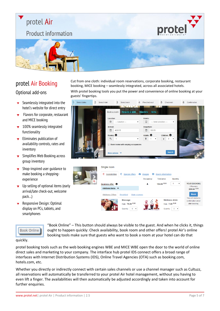## protel Air

### **Product information**



### protel Air Booking

#### Optional add-ons

- Seamlessly integrated into the hotel's website for direct entry
- Flavors for corporate, restaurant  $\overline{\mathbf{v}}$ and MICE booking
- $\sqrt{100\%}$  seamlessly integrated functionality
- $\blacktriangleright$  Eliminates publication of availability controls, rates and inventory
- $\blacktriangleright$  Simplifies Web Booking across group inventory
- Shop-inspired user guidance to make booking a shoppingexperience
- $\blacktriangleright$  Up-selling of optional items (early arrival/late check-out, welcome pack…)
- Responsive Design: Optimal display on PCs, tablets, and smartphones

Cut from one cloth: individual room reservations, corporate booking, restaurant booking, MICE booking – seamlessly integrated, across all associated hotels.

With protel booking tools you put the power and convenience of online booking at your guests' fingertips.

protel

| Select dates | $\overline{2}$ | Select hotel  | $\mathbf{3}$        | Select room                         | $\overline{4}$     |                 | Pre-check-out             | 5 <sup>5</sup>       | Check-out          | 6 | Confirmation |  |
|--------------|----------------|---------------|---------------------|-------------------------------------|--------------------|-----------------|---------------------------|----------------------|--------------------|---|--------------|--|
|              |                | Book a room   |                     | Request a table                     |                    | <b>Vouchers</b> | <b>Items</b>              |                      |                    |   |              |  |
|              |                | Location:     |                     |                                     |                    | Hotels:         |                           |                      |                    |   |              |  |
|              |                | $\odot$       | $-$ Location $-$    |                                     | $\pmb{\mathrm{v}}$ | ▣               | ---- hotel selection ---- |                      | $\pmb{\mathrm{v}}$ |   |              |  |
|              |                |               | Arrival:            |                                     |                    |                 | Departure:                |                      |                    |   |              |  |
|              |                | 曲             | 4/30/15             |                                     |                    | m               | 5/1/15                    |                      |                    |   |              |  |
|              |                | Rooms: 0      |                     |                                     |                    | Adults: 0       |                           |                      | Children: O        |   |              |  |
|              |                | $Q_{\varphi}$ |                     |                                     |                    | 會               |                           | $\tilde{\mathbf{r}}$ | n                  |   |              |  |
|              |                | 日             |                     | Book rooms with varying occupancies |                    |                 |                           |                      |                    |   |              |  |
|              |                |               | More options $\vee$ |                                     |                    | <b>BIFORME</b>  |                           |                      | <b>Search</b>      |   |              |  |



#### **Book Online**

"Book Online" – This button should always be visible to the guest. And when he clicks it, things ought to happen quickly: Check availability, book room and other offers! protel Air's online booking tools make sure that guests who want to book a room at your hotel can do that

#### quickly.

protel booking tools such as the web booking engines WBE and MICE WBE open the door to the world of online direct sales and marketing to your company. The interface hub protel IDS connect offers a broad range of interfaces with Internet Distribution Systems (IDS), Online Travel Agencies (OTA) such as booking.com, hotels.com, etc.

Whether you directly or indirectly connect with certain sales channels or use a channel manager such as Cultuzz, all reservations will automatically be transferred to your protel Air hotel management, without you having to even lift a finger. The availabilities will then automatically be adjusted accordingly and taken into account for further enquiries.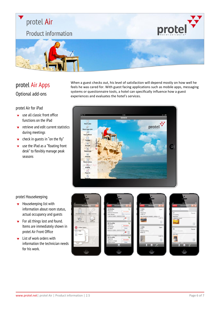# protel Air protel **Product information**

## protel Air Apps Optional add-ons

protel Air for iPad

- use all classic front office  $\blacktriangledown$ functions on the iPad
- $\bullet$  retrieve and edit current statistics during meetings
- $\bullet$  check in guests in "on the fly"
- use the iPad as a "floating front  $\blacktriangledown$ desk" to flexibly manage peak seasons

When a guest checks out, his level of satisfaction will depend mostly on how well he feels he was cared for. With guest facing applications such as mobile apps, messaging systems or questionnaire tools, a hotel can specifically influence how a guest experiences and evaluates the hotel's services.



#### protel Housekeeping

- $\blacktriangleright$  Housekeeping list with information about room status, actual occupancy and guests
- $\blacktriangleright$  For all things lost and found. Items are immediately shown in protel Air Front Office
- $\blacktriangleright$  List of work orders with information the technician needs for his work.

| 1:37 PM<br>mil |             | attl                              |
|----------------|-------------|-----------------------------------|
| Housekeeping   |             | Deskto                            |
| Housekeeping   | Maintenance | 105(<br>Stayo<br>Claim<br>Jean-   |
| Lost + Found   | Settings    | 11.02                             |
| Offline Cache  |             | 201(<br>Stayo<br>Streitl<br>Kim E |
| Help<br>Logout | s<br>s      | 02.02                             |
|                |             | 201(<br>Stay<br>Beaut<br>Charle   |
|                |             |                                   |

| 1:37 PM<br>an I                                                                                | ▭                               |  |
|------------------------------------------------------------------------------------------------|---------------------------------|--|
| Desktop:<br>Housekeeping                                                                       | J.                              |  |
| 105 (ExRo)<br>Stayover<br>Clairmont-Tonnerre<br>Jean-Jaques<br>11.02.12 12:00 - 14.02.12 11:59 | ц<br>Occupied<br>Out of service |  |
|                                                                                                |                                 |  |
| 201 (LuxRo)<br>Stayover<br>Streitbörger<br>Kim Björn<br>02.02.12 12:00 - 13.02.12 11:59        | <b>Occupied</b><br>Clean        |  |
|                                                                                                |                                 |  |
| 201 (LuxRo)                                                                                    | عبا                             |  |
| Stayover<br>Beaufort-Lucinge<br>Charles-Henri                                                  | Occupied<br>Clean               |  |
| Overview                                                                                       |                                 |  |
|                                                                                                |                                 |  |



| 1:37 PM<br>.utl<br>Desktop Lost & Found | 50        |
|-----------------------------------------|-----------|
| $\alpha$                                | Abbrechen |
| 17<br>103 (ExRo)<br>Aberdeen            | Found     |
| Cellphone pouch                         | E         |
| 16                                      | Found     |
| no room allocated<br>Name               |           |
| iPad Mini                               |           |
|                                         |           |